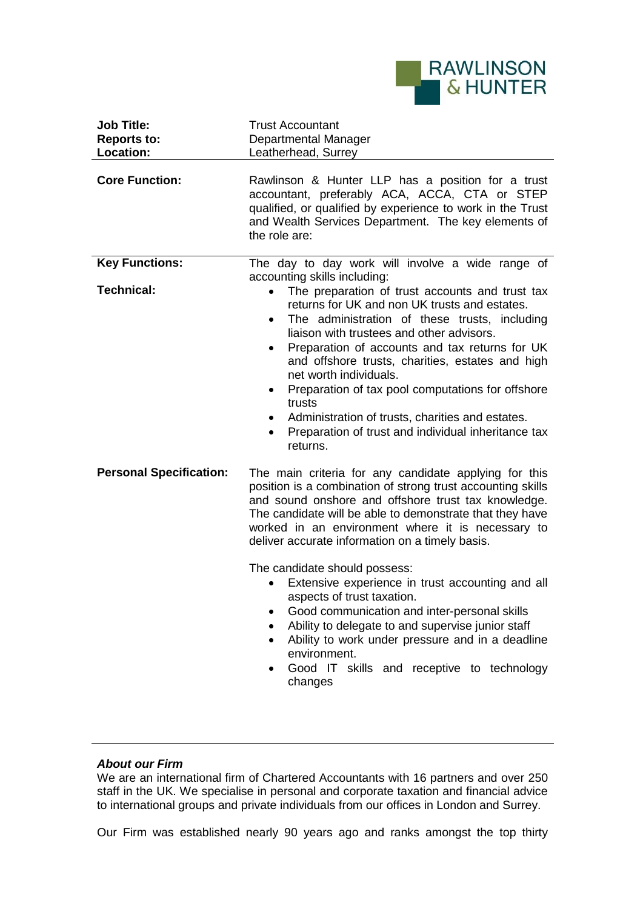

| <b>Job Title:</b><br><b>Reports to:</b><br>Location: | <b>Trust Accountant</b><br>Departmental Manager<br>Leatherhead, Surrey                                                                                                                                                                                                                                                                                         |
|------------------------------------------------------|----------------------------------------------------------------------------------------------------------------------------------------------------------------------------------------------------------------------------------------------------------------------------------------------------------------------------------------------------------------|
| <b>Core Function:</b>                                | Rawlinson & Hunter LLP has a position for a trust<br>accountant, preferably ACA, ACCA, CTA or STEP<br>qualified, or qualified by experience to work in the Trust<br>and Wealth Services Department. The key elements of<br>the role are:                                                                                                                       |
| <b>Key Functions:</b><br><b>Technical:</b>           | The day to day work will involve a wide range of<br>accounting skills including:<br>The preparation of trust accounts and trust tax<br>$\bullet$<br>returns for UK and non UK trusts and estates.<br>The administration of these trusts, including<br>$\bullet$<br>liaison with trustees and other advisors.                                                   |
|                                                      | Preparation of accounts and tax returns for UK<br>and offshore trusts, charities, estates and high<br>net worth individuals.<br>Preparation of tax pool computations for offshore<br>$\bullet$<br>trusts<br>Administration of trusts, charities and estates.<br>Preparation of trust and individual inheritance tax<br>٠<br>returns.                           |
| <b>Personal Specification:</b>                       | The main criteria for any candidate applying for this<br>position is a combination of strong trust accounting skills<br>and sound onshore and offshore trust tax knowledge.<br>The candidate will be able to demonstrate that they have<br>worked in an environment where it is necessary to<br>deliver accurate information on a timely basis.                |
|                                                      | The candidate should possess:<br>Extensive experience in trust accounting and all<br>aspects of trust taxation.<br>Good communication and inter-personal skills<br>Ability to delegate to and supervise junior staff<br>Ability to work under pressure and in a deadline<br>environment.<br>Good IT skills and receptive to technology<br>$\bullet$<br>changes |

## *About our Firm*

We are an international firm of Chartered Accountants with 16 partners and over 250 staff in the UK. We specialise in personal and corporate taxation and financial advice to international groups and private individuals from our offices in London and Surrey.

Our Firm was established nearly 90 years ago and ranks amongst the top thirty